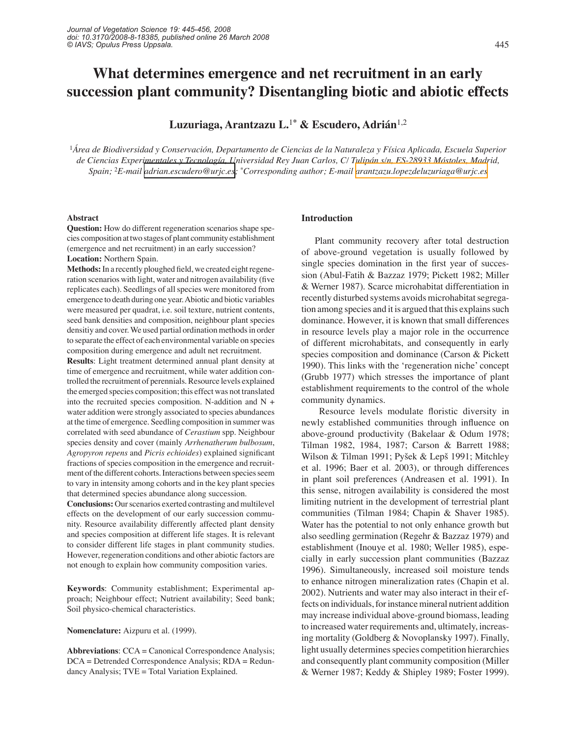# **What determines emergence and net recruitment in an early succession plant community? Disentangling biotic and abiotic effects**

**Luzuriaga, Arantzazu L.**<sup>1</sup>**\* & Escudero, Adrián**1,2

<sup>1</sup>*Área de Biodiversidad y Conservación, Departamento de Ciencias de la Naturaleza y Física Aplicada, Escuela Superior de Ciencias Experimentales y Tecnología, Universidad Rey Juan Carlos, C/ Tulipán s/n, ES-28933 Móstoles, Madrid, Spain;* <sup>2</sup>*E-mail [adrian.escudero@urjc.es;](mailto:adrian.escudero@urjc.es) \*Corresponding author; E-mail [arantzazu.lopezdeluzuriaga@urjc.es](mailto:arantzazu.lopezdeluzuriaga@urjc.es)*

## **Abstract**

**Question:** How do different regeneration scenarios shape species composition at two stages of plant community establishment (emergence and net recruitment) in an early succession? **Location:** Northern Spain.

**Methods:** In a recently ploughed field, we created eight regeneration scenarios with light, water and nitrogen availability (five replicates each). Seedlings of all species were monitored from emergence to death during one year. Abiotic and biotic variables were measured per quadrat, i.e. soil texture, nutrient contents, seed bank densities and composition, neighbour plant species densitiy and cover. We used partial ordination methods in order to separate the effect of each environmental variable on species composition during emergence and adult net recruitment.

**Results**: Light treatment determined annual plant density at time of emergence and recruitment, while water addition controlled the recruitment of perennials. Resource levels explained the emerged species composition; this effect was not translated into the recruited species composition. N-addition and  $N +$ water addition were strongly associated to species abundances at the time of emergence. Seedling composition in summer was correlated with seed abundance of *Cerastium* spp. Neighbour species density and cover (mainly *Arrhenatherum bulbosum*, *Agropyron repens* and *Picris echioides*) explained significant fractions of species composition in the emergence and recruitment of the different cohorts. Interactions between species seem to vary in intensity among cohorts and in the key plant species that determined species abundance along succession.

**Conclusions:** Our scenarios exerted contrasting and multilevel effects on the development of our early succession community. Resource availability differently affected plant density and species composition at different life stages. It is relevant to consider different life stages in plant community studies. However, regeneration conditions and other abiotic factors are not enough to explain how community composition varies.

**Keywords**: Community establishment; Experimental approach; Neighbour effect; Nutrient availability; Seed bank; Soil physico-chemical characteristics.

**Nomenclature:** Aizpuru et al. (1999).

**Abbreviations**: CCA = Canonical Correspondence Analysis; DCA = Detrended Correspondence Analysis; RDA = Redundancy Analysis; TVE = Total Variation Explained.

#### **Introduction**

Plant community recovery after total destruction of above-ground vegetation is usually followed by single species domination in the first year of succession (Abul-Fatih & Bazzaz 1979; Pickett 1982; Miller & Werner 1987). Scarce microhabitat differentiation in recently disturbed systems avoids microhabitat segregation among species and it is argued that this explains such dominance. However, it is known that small differences in resource levels play a major role in the occurrence of different microhabitats, and consequently in early species composition and dominance (Carson & Pickett 1990). This links with the 'regeneration niche' concept (Grubb 1977) which stresses the importance of plant establishment requirements to the control of the whole community dynamics.

Resource levels modulate floristic diversity in newly established communities through influence on above-ground productivity (Bakelaar & Odum 1978; Tilman 1982, 1984, 1987; Carson & Barrett 1988; Wilson & Tilman 1991; Pyšek & Lepš 1991; Mitchley et al. 1996; Baer et al. 2003), or through differences in plant soil preferences (Andreasen et al. 1991). In this sense, nitrogen availability is considered the most limiting nutrient in the development of terrestrial plant communities (Tilman 1984; Chapin & Shaver 1985). Water has the potential to not only enhance growth but also seedling germination (Regehr & Bazzaz 1979) and establishment (Inouye et al. 1980; Weller 1985), especially in early succession plant communities (Bazzaz 1996). Simultaneously, increased soil moisture tends to enhance nitrogen mineralization rates (Chapin et al. 2002). Nutrients and water may also interact in their effects on individuals, for instance mineral nutrient addition may increase individual above-ground biomass, leading to increased water requirements and, ultimately, increasing mortality (Goldberg & Novoplansky 1997). Finally, light usually determines species competition hierarchies and consequently plant community composition (Miller & Werner 1987; Keddy & Shipley 1989; Foster 1999).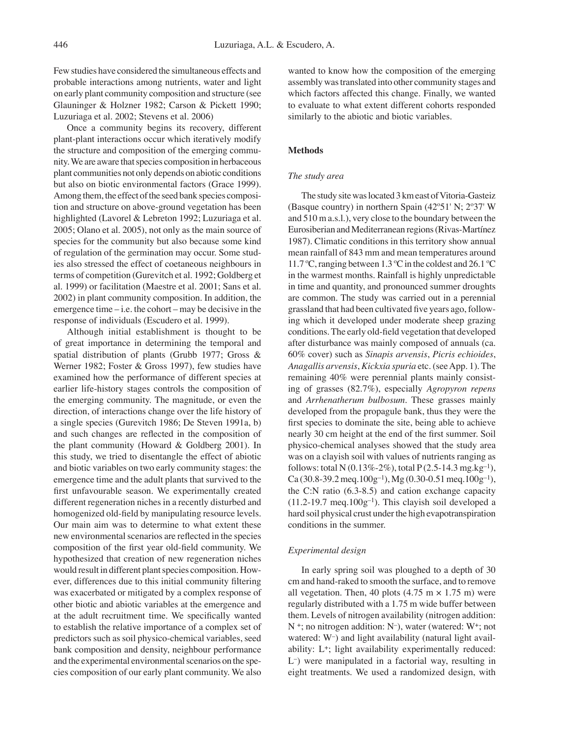Few studies have considered the simultaneous effects and probable interactions among nutrients, water and light on early plant community composition and structure (see Glauninger & Holzner 1982; Carson & Pickett 1990; Luzuriaga et al. 2002; Stevens et al. 2006)

Once a community begins its recovery, different plant-plant interactions occur which iteratively modify the structure and composition of the emerging community. We are aware that species composition in herbaceous plant communities not only depends on abiotic conditions but also on biotic environmental factors (Grace 1999). Among them, the effect of the seed bank species composition and structure on above-ground vegetation has been highlighted (Lavorel & Lebreton 1992; Luzuriaga et al. 2005; Olano et al. 2005), not only as the main source of species for the community but also because some kind of regulation of the germination may occur. Some studies also stressed the effect of coetaneous neighbours in terms of competition (Gurevitch et al. 1992; Goldberg et al. 1999) or facilitation (Maestre et al. 2001; Sans et al. 2002) in plant community composition. In addition, the emergence time – i.e. the cohort – may be decisive in the response of individuals (Escudero et al. 1999).

Although initial establishment is thought to be of great importance in determining the temporal and spatial distribution of plants (Grubb 1977; Gross & Werner 1982; Foster & Gross 1997), few studies have examined how the performance of different species at earlier life-history stages controls the composition of the emerging community. The magnitude, or even the direction, of interactions change over the life history of a single species (Gurevitch 1986; De Steven 1991a, b) and such changes are reflected in the composition of the plant community (Howard & Goldberg 2001). In this study, we tried to disentangle the effect of abiotic and biotic variables on two early community stages: the emergence time and the adult plants that survived to the first unfavourable season. We experimentally created different regeneration niches in a recently disturbed and homogenized old-field by manipulating resource levels. Our main aim was to determine to what extent these new environmental scenarios are reflected in the species composition of the first year old-field community. We hypothesized that creation of new regeneration niches would result in different plant species composition. However, differences due to this initial community filtering was exacerbated or mitigated by a complex response of other biotic and abiotic variables at the emergence and at the adult recruitment time. We specifically wanted to establish the relative importance of a complex set of predictors such as soil physico-chemical variables, seed bank composition and density, neighbour performance and the experimental environmental scenarios on the species composition of our early plant community. We also

wanted to know how the composition of the emerging assembly was translated into other community stages and which factors affected this change. Finally, we wanted to evaluate to what extent different cohorts responded similarly to the abiotic and biotic variables.

#### **Methods**

#### *The study area*

The study site was located 3 km east of Vitoria-Gasteiz (Basque country) in northern Spain (42º51' N; 2º37' W and 510 m a.s.l.), very close to the boundary between the Eurosiberian and Mediterranean regions (Rivas-Martínez 1987). Climatic conditions in this territory show annual mean rainfall of 843 mm and mean temperatures around 11.7 ºC, ranging between 1.3 ºC in the coldest and 26.1 ºC in the warmest months. Rainfall is highly unpredictable in time and quantity, and pronounced summer droughts are common. The study was carried out in a perennial grassland that had been cultivated five years ago, following which it developed under moderate sheep grazing conditions. The early old-field vegetation that developed after disturbance was mainly composed of annuals (ca. 60% cover) such as *Sinapis arvensis*, *Picris echioides*, *Anagallis arvensis*, *Kickxia spuria* etc. (see App. 1). The remaining 40% were perennial plants mainly consisting of grasses (82.7%), especially *Agropyron repens* and *Arrhenatherum bulbosum*. These grasses mainly developed from the propagule bank, thus they were the first species to dominate the site, being able to achieve nearly 30 cm height at the end of the first summer. Soil physico-chemical analyses showed that the study area was on a clayish soil with values of nutrients ranging as follows: total N (0.13%-2%), total P (2.5-14.3 mg.kg<sup>-1</sup>), Ca (30.8-39.2 meq.100g<sup>-1</sup>), Mg (0.30-0.51 meq.100g<sup>-1</sup>), the C:N ratio (6.3-8.5) and cation exchange capacity  $(11.2-19.7 \text{~meq}.100g^{-1})$ . This clayish soil developed a hard soil physical crust under the high evapotranspiration conditions in the summer.

## *Experimental design*

In early spring soil was ploughed to a depth of 30 cm and hand-raked to smooth the surface, and to remove all vegetation. Then, 40 plots  $(4.75 \text{ m} \times 1.75 \text{ m})$  were regularly distributed with a 1.75 m wide buffer between them. Levels of nitrogen availability (nitrogen addition:  $N^+$ ; no nitrogen addition:  $N^-$ ), water (watered:  $W^+$ ; not watered:  $W^-$ ) and light availability (natural light availability: L<sup>+</sup>; light availability experimentally reduced: L–) were manipulated in a factorial way, resulting in eight treatments. We used a randomized design, with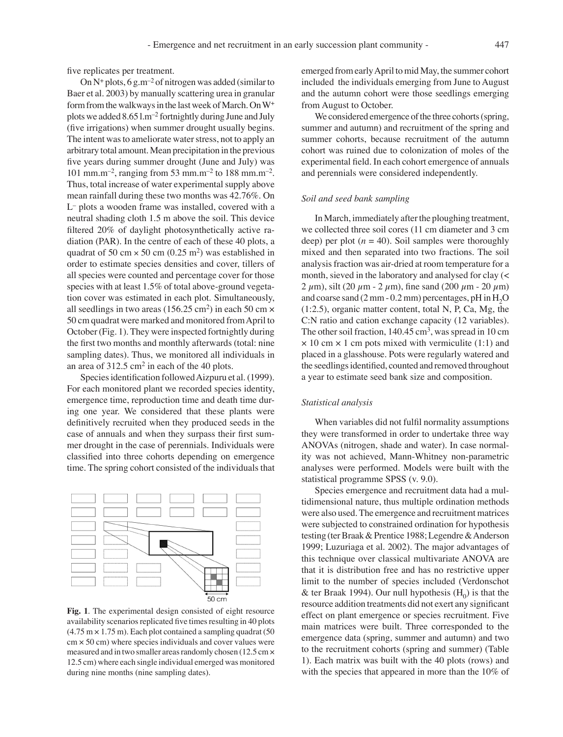five replicates per treatment.

On  $N^+$  plots, 6 g.m<sup>-2</sup> of nitrogen was added (similar to Baer et al. 2003) by manually scattering urea in granular form from the walkways in the last week of March. On W+ plots we added 8.65 l.m–2 fortnightly during June and July (five irrigations) when summer drought usually begins. The intent was to ameliorate water stress, not to apply an arbitrary total amount. Mean precipitation in the previous five years during summer drought (June and July) was 101 mm.m–2, ranging from 53 mm.m–2 to 188 mm.m–2. Thus, total increase of water experimental supply above mean rainfall during these two months was 42.76%. On L– plots a wooden frame was installed, covered with a neutral shading cloth 1.5 m above the soil. This device filtered 20% of daylight photosynthetically active radiation (PAR). In the centre of each of these 40 plots, a quadrat of 50 cm  $\times$  50 cm (0.25 m<sup>2</sup>) was established in order to estimate species densities and cover, tillers of all species were counted and percentage cover for those species with at least 1.5% of total above-ground vegetation cover was estimated in each plot. Simultaneously, all seedlings in two areas (156.25 cm<sup>2</sup>) in each 50 cm  $\times$ 50 cm quadrat were marked and monitored from April to October (Fig. 1). They were inspected fortnightly during the first two months and monthly afterwards (total: nine sampling dates). Thus, we monitored all individuals in an area of 312.5 cm2 in each of the 40 plots.

Species identification followed Aizpuru et al. (1999). For each monitored plant we recorded species identity, emergence time, reproduction time and death time during one year. We considered that these plants were definitively recruited when they produced seeds in the case of annuals and when they surpass their first summer drought in the case of perennials. Individuals were classified into three cohorts depending on emergence time. The spring cohort consisted of the individuals that



**Fig. 1**. The experimental design consisted of eight resource availability scenarios replicated five times resulting in 40 plots  $(4.75 \text{ m} \times 1.75 \text{ m})$ . Each plot contained a sampling quadrat (50)  $cm \times 50$  cm) where species individuals and cover values were measured and in two smaller areas randomly chosen (12.5 cm × 12.5 cm) where each single individual emerged was monitored during nine months (nine sampling dates).

emerged from early April to mid May, the summer cohort included the individuals emerging from June to August and the autumn cohort were those seedlings emerging from August to October.

We considered emergence of the three cohorts (spring, summer and autumn) and recruitment of the spring and summer cohorts, because recruitment of the autumn cohort was ruined due to colonization of moles of the experimental field. In each cohort emergence of annuals and perennials were considered independently.

## *Soil and seed bank sampling*

In March, immediately after the ploughing treatment, we collected three soil cores (11 cm diameter and 3 cm deep) per plot  $(n = 40)$ . Soil samples were thoroughly mixed and then separated into two fractions. The soil analysis fraction was air-dried at room temperature for a month, sieved in the laboratory and analysed for clay (< 2  $\mu$ m), silt (20  $\mu$ m - 2  $\mu$ m), fine sand (200  $\mu$ m - 20  $\mu$ m) and coarse sand  $(2 \text{ mm} - 0.2 \text{ mm})$  percentages, pH in  $H<sub>2</sub>O$ (1:2.5), organic matter content, total N, P, Ca, Mg, the C:N ratio and cation exchange capacity (12 variables). The other soil fraction,  $140.45 \text{ cm}^3$ , was spread in 10 cm  $\times$  10 cm  $\times$  1 cm pots mixed with vermiculite (1:1) and placed in a glasshouse. Pots were regularly watered and the seedlings identified, counted and removed throughout a year to estimate seed bank size and composition.

#### *Statistical analysis*

When variables did not fulfil normality assumptions they were transformed in order to undertake three way ANOVAs (nitrogen, shade and water). In case normality was not achieved, Mann-Whitney non-parametric analyses were performed. Models were built with the statistical programme SPSS (v. 9.0).

Species emergence and recruitment data had a multidimensional nature, thus multiple ordination methods were also used. The emergence and recruitment matrices were subjected to constrained ordination for hypothesis testing (ter Braak & Prentice 1988; Legendre & Anderson 1999; Luzuriaga et al. 2002). The major advantages of this technique over classical multivariate ANOVA are that it is distribution free and has no restrictive upper limit to the number of species included (Verdonschot & ter Braak 1994). Our null hypothesis  $(H_0)$  is that the resource addition treatments did not exert any significant effect on plant emergence or species recruitment. Five main matrices were built. Three corresponded to the emergence data (spring, summer and autumn) and two to the recruitment cohorts (spring and summer) (Table 1). Each matrix was built with the 40 plots (rows) and with the species that appeared in more than the 10% of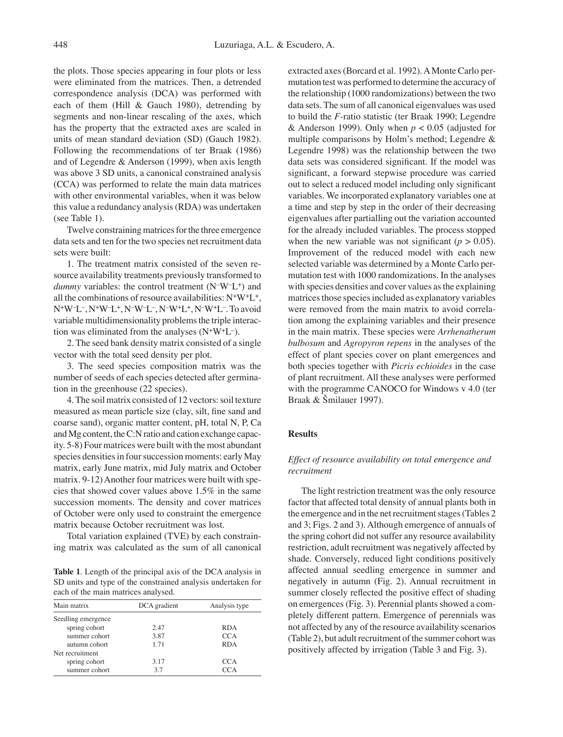the plots. Those species appearing in four plots or less were eliminated from the matrices. Then, a detrended correspondence analysis (DCA) was performed with each of them (Hill & Gauch 1980), detrending by segments and non-linear rescaling of the axes, which has the property that the extracted axes are scaled in units of mean standard deviation (SD) (Gauch 1982). Following the recommendations of ter Braak (1986) and of Legendre & Anderson (1999), when axis length was above 3 SD units, a canonical constrained analysis (CCA) was performed to relate the main data matrices with other environmental variables, when it was below this value a redundancy analysis (RDA) was undertaken (see Table 1).

Twelve constraining matrices for the three emergence data sets and ten for the two species net recruitment data sets were built:

1. The treatment matrix consisted of the seven resource availability treatments previously transformed to *dummy* variables: the control treatment (N–W–L<sup>+</sup>) and all the combinations of resource availabilities: N+W+L+, N+W–L–, N+W–L+, N–W–L–, N–W+L+, N–W+L–. To avoid variable multidimensionality problems the triple interaction was eliminated from the analyses  $(N^+W^+L^-)$ .

2. The seed bank density matrix consisted of a single vector with the total seed density per plot.

3. The seed species composition matrix was the number of seeds of each species detected after germination in the greenhouse (22 species).

4. The soil matrix consisted of 12 vectors: soil texture measured as mean particle size (clay, silt, fine sand and coarse sand), organic matter content, pH, total N, P, Ca and Mg content, the C:N ratio and cation exchange capacity. 5-8) Four matrices were built with the most abundant species densities in four succession moments: early May matrix, early June matrix, mid July matrix and October matrix. 9-12) Another four matrices were built with species that showed cover values above 1.5% in the same succession moments. The density and cover matrices of October were only used to constraint the emergence matrix because October recruitment was lost.

Total variation explained (TVE) by each constraining matrix was calculated as the sum of all canonical

**Table 1**. Length of the principal axis of the DCA analysis in SD units and type of the constrained analysis undertaken for each of the main matrices analysed.

| Main matrix        | DCA gradient | Analysis type    |  |  |
|--------------------|--------------|------------------|--|--|
| Seedling emergence |              |                  |  |  |
| spring cohort      | 2.47         | RDA              |  |  |
| summer cohort      | 3.87         | <b>CCA</b>       |  |  |
| autumn cohort      | 1.71         | <b>RDA</b>       |  |  |
| Net recruitment    |              |                  |  |  |
| spring cohort      | 3.17         | <b>CCA</b>       |  |  |
| summer cohort      | 3.7          | CCA <sup>.</sup> |  |  |

extracted axes (Borcard et al. 1992). A Monte Carlo permutation test was performed to determine the accuracy of the relationship (1000 randomizations) between the two data sets. The sum of all canonical eigenvalues was used to build the *F*-ratio statistic (ter Braak 1990; Legendre & Anderson 1999). Only when  $p < 0.05$  (adjusted for multiple comparisons by Holm's method; Legendre & Legendre 1998) was the relationship between the two data sets was considered significant. If the model was significant, a forward stepwise procedure was carried out to select a reduced model including only significant variables. We incorporated explanatory variables one at a time and step by step in the order of their decreasing eigenvalues after partialling out the variation accounted for the already included variables. The process stopped when the new variable was not significant  $(p > 0.05)$ . Improvement of the reduced model with each new selected variable was determined by a Monte Carlo permutation test with 1000 randomizations. In the analyses with species densities and cover values as the explaining matrices those species included as explanatory variables were removed from the main matrix to avoid correlation among the explaining variables and their presence in the main matrix. These species were *Arrhenatherum bulbosum* and *Agropyron repens* in the analyses of the effect of plant species cover on plant emergences and both species together with *Picris echioides* in the case of plant recruitment. All these analyses were performed with the programme CANOCO for Windows v 4.0 (ter Braak & Šmilauer 1997).

## **Results**

# *Effect of resource availability on total emergence and recruitment*

The light restriction treatment was the only resource factor that affected total density of annual plants both in the emergence and in the net recruitment stages (Tables 2 and 3; Figs. 2 and 3). Although emergence of annuals of the spring cohort did not suffer any resource availability restriction, adult recruitment was negatively affected by shade. Conversely, reduced light conditions positively affected annual seedling emergence in summer and negatively in autumn (Fig. 2). Annual recruitment in summer closely reflected the positive effect of shading on emergences (Fig. 3). Perennial plants showed a completely different pattern. Emergence of perennials was not affected by any of the resource availability scenarios (Table 2), but adult recruitment of the summer cohort was positively affected by irrigation (Table 3 and Fig. 3).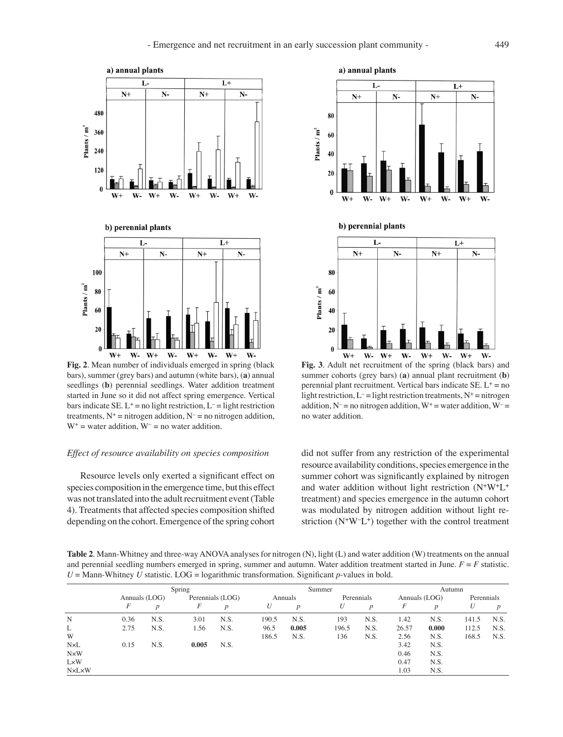

**Fig. 2**. Mean number of individuals emerged in spring (black bars), summer (grey bars) and autumn (white bars), (**a**) annual seedlings (**b**) perennial seedlings. Water addition treatment started in June so it did not affect spring emergence. Vertical bars indicate SE.  $L^+$  = no light restriction,  $L^-$  = light restriction treatments,  $N^+$  = nitrogen addition,  $N^-$  = no nitrogen addition,  $W^+$  = water addition,  $W^-$  = no water addition.

#### *Effect of resource availability on species composition*

Resource levels only exerted a significant effect on species composition in the emergence time, but this effect was not translated into the adult recruitment event (Table 4). Treatments that affected species composition shifted depending on the cohort. Emergence of the spring cohort



**Fig. 3**. Adult net recruitment of the spring (black bars) and summer cohorts (grey bars) (**a**) annual plant recruitment (**b**) perennial plant recruitment. Vertical bars indicate  $SE$ .  $L^+$  = no light restriction,  $L^-$  = light restriction treatments,  $N^+$  = nitrogen addition,  $N^-$  = no nitrogen addition,  $W^+$  = water addition,  $W^-$  = no water addition.

did not suffer from any restriction of the experimental resource availability conditions, species emergence in the summer cohort was significantly explained by nitrogen and water addition without light restriction (N+W+L+ treatment) and species emergence in the autumn cohort was modulated by nitrogen addition without light restriction  $(N^+W^-L^+)$  together with the control treatment

**Table 2**. Mann-Whitney and three-way ANOVA analyses for nitrogen (N), light (L) and water addition (W) treatments on the annual and perennial seedling numbers emerged in spring, summer and autumn. Water addition treatment started in June. *F* = *F* statistic.  $U =$  Mann-Whitney *U* statistic. LOG = logarithmic transformation. Significant *p*-values in bold.

|              | Spring        |      |                  | Summer |         |                  |            | Autumn           |               |                  |            |                  |
|--------------|---------------|------|------------------|--------|---------|------------------|------------|------------------|---------------|------------------|------------|------------------|
|              | Annuals (LOG) |      | Perennials (LOG) |        | Annuals |                  | Perennials |                  | Annuals (LOG) |                  | Perennials |                  |
|              | F             |      | F                |        | U       | $\boldsymbol{D}$ | U          | $\boldsymbol{D}$ | F             | $\boldsymbol{D}$ | U          | $\boldsymbol{D}$ |
| N            | 0.36          | N.S. | 3.01             | N.S.   | 190.5   | N.S.             | 193        | N.S.             | 1.42          | N.S.             | 141.5      | N.S.             |
| L            | 2.75          | N.S. | 1.56             | N.S.   | 96.5    | 0.005            | 196.5      | N.S.             | 26.57         | 0.000            | 112.5      | N.S.             |
| W            |               |      |                  |        | 186.5   | N.S.             | 136        | N.S.             | 2.56          | N.S.             | 168.5      | N.S.             |
| $N\times L$  | 0.15          | N.S. | 0.005            | N.S.   |         |                  |            |                  | 3.42          | N.S.             |            |                  |
| $N \times W$ |               |      |                  |        |         |                  |            |                  | 0.46          | N.S.             |            |                  |
| $L \times W$ |               |      |                  |        |         |                  |            |                  | 0.47          | N.S.             |            |                  |
| <b>NxLxW</b> |               |      |                  |        |         |                  |            |                  | 1.03          | N.S.             |            |                  |

a) annual plants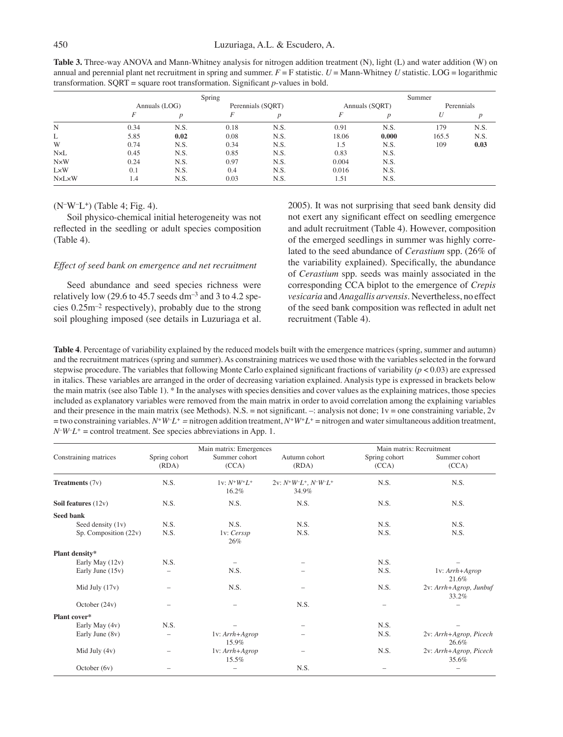**Table 3.** Three-way ANOVA and Mann-Whitney analysis for nitrogen addition treatment (N), light (L) and water addition (W) on annual and perennial plant net recruitment in spring and summer.  $F = F$  statistic.  $U =$  Mann-Whitney *U* statistic. LOG = logarithmic transformation. SQRT = square root transformation. Significant *p*-values in bold.

|              |               |      | Spring            | Summer |       |                |            |      |
|--------------|---------------|------|-------------------|--------|-------|----------------|------------|------|
|              | Annuals (LOG) |      | Perennials (SQRT) |        |       | Annuals (SQRT) | Perennials |      |
|              |               |      |                   |        |       |                | U          |      |
| N            | 0.34          | N.S. | 0.18              | N.S.   | 0.91  | N.S.           | 179        | N.S. |
| L            | 5.85          | 0.02 | 0.08              | N.S.   | 18.06 | 0.000          | 165.5      | N.S. |
| W            | 0.74          | N.S. | 0.34              | N.S.   | 1.5   | N.S.           | 109        | 0.03 |
| $N\times L$  | 0.45          | N.S. | 0.85              | N.S.   | 0.83  | N.S.           |            |      |
| <b>N</b> ×W  | 0.24          | N.S. | 0.97              | N.S.   | 0.004 | N.S.           |            |      |
| $L \times W$ | 0.1           | N.S. | 0.4               | N.S.   | 0.016 | N.S.           |            |      |
| <b>NxLxW</b> | 1.4           | N.S. | 0.03              | N.S.   | 1.51  | N.S.           |            |      |

 $(N-W-L^+)$  (Table 4; Fig. 4).

Soil physico-chemical initial heterogeneity was not reflected in the seedling or adult species composition (Table 4).

#### *Effect of seed bank on emergence and net recruitment*

Seed abundance and seed species richness were relatively low (29.6 to 45.7 seeds dm<sup>-3</sup> and 3 to 4.2 species 0.25m–2 respectively), probably due to the strong soil ploughing imposed (see details in Luzuriaga et al.

2005). It was not surprising that seed bank density did not exert any significant effect on seedling emergence and adult recruitment (Table 4). However, composition of the emerged seedlings in summer was highly correlated to the seed abundance of *Cerastium* spp. (26% of the variability explained). Specifically, the abundance of *Cerastium* spp. seeds was mainly associated in the corresponding CCA biplot to the emergence of *Crepis vesicaria* and *Anagallis arvensis.* Nevertheless, no effect of the seed bank composition was reflected in adult net recruitment (Table 4).

**Table 4**. Percentage of variability explained by the reduced models built with the emergence matrices (spring, summer and autumn) and the recruitment matrices (spring and summer). As constraining matrices we used those with the variables selected in the forward stepwise procedure. The variables that following Monte Carlo explained significant fractions of variability (*p* < 0.03) are expressed in italics. These variables are arranged in the order of decreasing variation explained. Analysis type is expressed in brackets below the main matrix (see also Table 1). \* In the analyses with species densities and cover values as the explaining matrices, those species included as explanatory variables were removed from the main matrix in order to avoid correlation among the explaining variables and their presence in the main matrix (see Methods). N.S. = not significant. -: analysis not done; 1v = one constraining variable, 2v = two constraining variables. *N+W–L+ =* nitrogen addition treatment, *N+W+L+* = nitrogen and water simultaneous addition treatment,  $N-W-L^+$  = control treatment. See species abbreviations in App. 1.

|                       |                        | Main matrix: Emergences  |                                     | Main matrix: Recruitment |                                 |  |  |
|-----------------------|------------------------|--------------------------|-------------------------------------|--------------------------|---------------------------------|--|--|
| Constraining matrices | Spring cohort<br>(RDA) | Summer cohort<br>(CCA)   | Autumn cohort<br>(RDA)              | Spring cohort<br>(CCA)   | Summer cohort<br>(CCA)          |  |  |
| Treatments (7v)       | N.S.                   | $1v: N^+W^+L^+$<br>16.2% | $2v: N^+W^-L^+, N^-W^-L^+$<br>34.9% | N.S.                     | N.S.                            |  |  |
| Soil features $(12v)$ | N.S.                   | N.S.                     | N.S.                                | N.S.                     | N.S.                            |  |  |
| <b>Seed bank</b>      |                        |                          |                                     |                          |                                 |  |  |
| Seed density (1v)     | N.S.                   | N.S.                     | N.S.                                | N.S.                     | N.S.                            |  |  |
| Sp. Composition (22v) | N.S.                   | 1v: Cerssp<br>26%        | N.S.                                | N.S.                     | N.S.                            |  |  |
| Plant density*        |                        |                          |                                     |                          |                                 |  |  |
| Early May (12v)       | N.S.                   |                          |                                     | N.S.                     |                                 |  |  |
| Early June (15v)      |                        | N.S.                     |                                     | N.S.                     | 1v: Arrh+Agrop<br>21.6%         |  |  |
| Mid July $(17v)$      |                        | N.S.                     |                                     | N.S.                     | 2v: Arrh+Agrop, Junbuf<br>33.2% |  |  |
| October (24v)         |                        |                          | N.S.                                | $\overline{\phantom{0}}$ |                                 |  |  |
| Plant cover*          |                        |                          |                                     |                          |                                 |  |  |
| Early May (4v)        | N.S.                   |                          |                                     | N.S.                     |                                 |  |  |
| Early June (8v)       |                        | 1v: Arrh+Agrop<br>15.9%  |                                     | N.S.                     | 2v: Arrh+Agrop, Picech<br>26.6% |  |  |
| Mid July $(4v)$       |                        | 1v: Arrh+Agrop<br>15.5%  | -                                   | N.S.                     | 2v: Arrh+Agrop, Picech<br>35.6% |  |  |
| October $(6v)$        |                        |                          | N.S.                                |                          |                                 |  |  |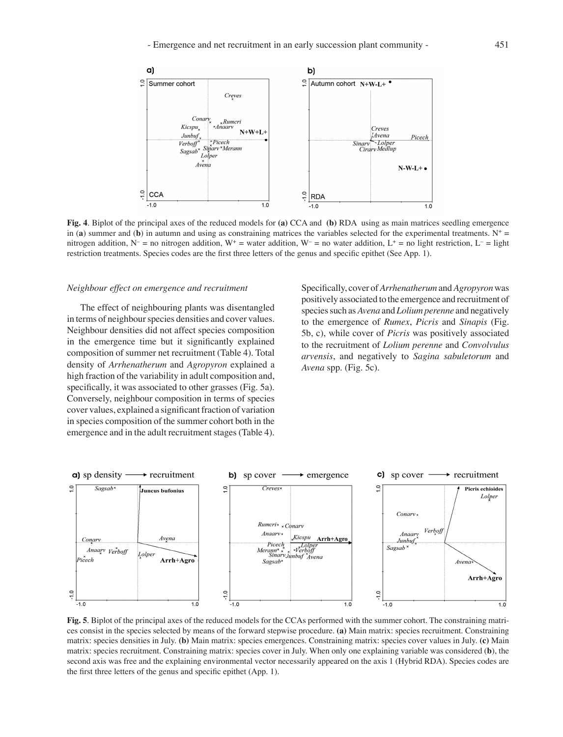

**Fig. 4**. Biplot of the principal axes of the reduced models for **(a)** CCA and **(b)** RDA using as main matrices seedling emergence in (a) summer and (b) in autumn and using as constraining matrices the variables selected for the experimental treatments.  $N^+$ nitrogen addition, N<sup>-</sup> = no nitrogen addition, W<sup>+</sup> = water addition, W<sup>-</sup> = no water addition, L<sup>+</sup> = no light restriction, L<sup>-</sup> = light restriction treatments. Species codes are the first three letters of the genus and specific epithet (See App. 1).

#### *Neighbour effect on emergence and recruitment*

The effect of neighbouring plants was disentangled in terms of neighbour species densities and cover values. Neighbour densities did not affect species composition in the emergence time but it significantly explained composition of summer net recruitment (Table 4). Total density of *Arrhenatherum* and *Agropyron* explained a high fraction of the variability in adult composition and, specifically, it was associated to other grasses (Fig. 5a). Conversely, neighbour composition in terms of species cover values, explained a significant fraction of variation in species composition of the summer cohort both in the emergence and in the adult recruitment stages (Table 4).

Specifically, cover of *Arrhenatherum* and *Agropyron* was positively associated to the emergence and recruitment of species such as *Avena* and *Lolium perenne* and negatively to the emergence of *Rumex*, *Picris* and *Sinapis* (Fig. 5b, c), while cover of *Picris* was positively associated to the recruitment of *Lolium perenne* and *Convolvulus arvensis*, and negatively to *Sagina sabuletorum* and *Avena* spp. (Fig. 5c).



**Fig. 5**. Biplot of the principal axes of the reduced models for the CCAs performed with the summer cohort. The constraining matrices consist in the species selected by means of the forward stepwise procedure. **(a)** Main matrix: species recruitment. Constraining matrix: species densities in July. **(b)** Main matrix: species emergences. Constraining matrix: species cover values in July. **(c)** Main matrix: species recruitment. Constraining matrix: species cover in July. When only one explaining variable was considered (**b**), the second axis was free and the explaining environmental vector necessarily appeared on the axis 1 (Hybrid RDA). Species codes are the first three letters of the genus and specific epithet (App. 1).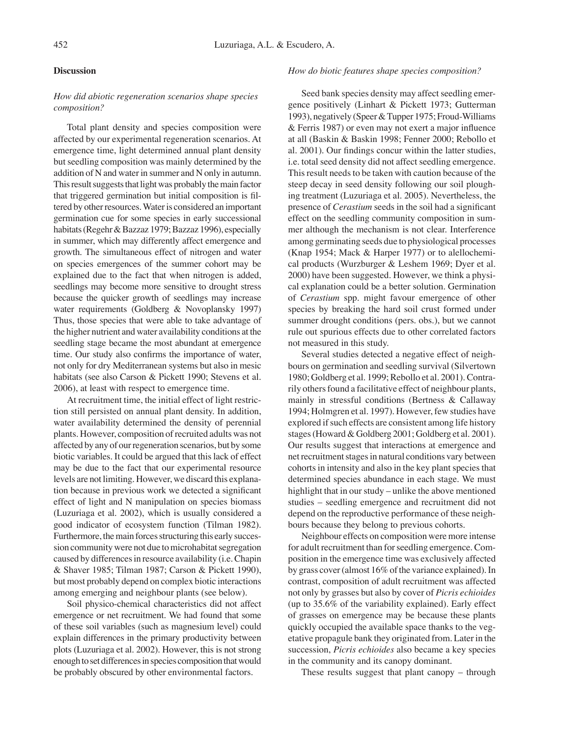## **Discussion**

# *How did abiotic regeneration scenarios shape species composition?*

Total plant density and species composition were affected by our experimental regeneration scenarios. At emergence time, light determined annual plant density but seedling composition was mainly determined by the addition of N and water in summer and N only in autumn. This result suggests that light was probably the main factor that triggered germination but initial composition is filtered by other resources. Water is considered an important germination cue for some species in early successional habitats (Regehr & Bazzaz 1979; Bazzaz 1996), especially in summer, which may differently affect emergence and growth. The simultaneous effect of nitrogen and water on species emergences of the summer cohort may be explained due to the fact that when nitrogen is added, seedlings may become more sensitive to drought stress because the quicker growth of seedlings may increase water requirements (Goldberg & Novoplansky 1997) Thus, those species that were able to take advantage of the higher nutrient and water availability conditions at the seedling stage became the most abundant at emergence time. Our study also confirms the importance of water, not only for dry Mediterranean systems but also in mesic habitats (see also Carson & Pickett 1990; Stevens et al. 2006), at least with respect to emergence time.

At recruitment time, the initial effect of light restriction still persisted on annual plant density. In addition, water availability determined the density of perennial plants. However, composition of recruited adults was not affected by any of our regeneration scenarios, but by some biotic variables. It could be argued that this lack of effect may be due to the fact that our experimental resource levels are not limiting. However, we discard this explanation because in previous work we detected a significant effect of light and N manipulation on species biomass (Luzuriaga et al. 2002), which is usually considered a good indicator of ecosystem function (Tilman 1982). Furthermore, the main forces structuring this early succession community were not due to microhabitat segregation caused by differences in resource availability (i.e. Chapin & Shaver 1985; Tilman 1987; Carson & Pickett 1990), but most probably depend on complex biotic interactions among emerging and neighbour plants (see below).

Soil physico-chemical characteristics did not affect emergence or net recruitment. We had found that some of these soil variables (such as magnesium level) could explain differences in the primary productivity between plots (Luzuriaga et al. 2002). However, this is not strong enough to set differences in species composition that would be probably obscured by other environmental factors.

#### *How do biotic features shape species composition?*

Seed bank species density may affect seedling emergence positively (Linhart & Pickett 1973; Gutterman 1993), negatively (Speer & Tupper 1975; Froud-Williams & Ferris 1987) or even may not exert a major influence at all (Baskin & Baskin 1998; Fenner 2000; Rebollo et al. 2001). Our findings concur within the latter studies, i.e. total seed density did not affect seedling emergence. This result needs to be taken with caution because of the steep decay in seed density following our soil ploughing treatment (Luzuriaga et al. 2005). Nevertheless, the presence of *Cerastium* seeds in the soil had a significant effect on the seedling community composition in summer although the mechanism is not clear. Interference among germinating seeds due to physiological processes (Knap 1954; Mack & Harper 1977) or to alellochemical products (Wurzburger & Leshem 1969; Dyer et al. 2000) have been suggested. However, we think a physical explanation could be a better solution. Germination of *Cerastium* spp. might favour emergence of other species by breaking the hard soil crust formed under summer drought conditions (pers. obs.), but we cannot rule out spurious effects due to other correlated factors not measured in this study.

Several studies detected a negative effect of neighbours on germination and seedling survival (Silvertown 1980; Goldberg et al. 1999; Rebollo et al. 2001). Contrarily others found a facilitative effect of neighbour plants, mainly in stressful conditions (Bertness & Callaway 1994; Holmgren et al. 1997). However, few studies have explored if such effects are consistent among life history stages (Howard & Goldberg 2001; Goldberg et al. 2001). Our results suggest that interactions at emergence and net recruitment stages in natural conditions vary between cohorts in intensity and also in the key plant species that determined species abundance in each stage. We must highlight that in our study – unlike the above mentioned studies – seedling emergence and recruitment did not depend on the reproductive performance of these neighbours because they belong to previous cohorts.

Neighbour effects on composition were more intense for adult recruitment than for seedling emergence. Composition in the emergence time was exclusively affected by grass cover (almost 16% of the variance explained). In contrast, composition of adult recruitment was affected not only by grasses but also by cover of *Picris echioides* (up to 35.6% of the variability explained). Early effect of grasses on emergence may be because these plants quickly occupied the available space thanks to the vegetative propagule bank they originated from. Later in the succession, *Picris echioides* also became a key species in the community and its canopy dominant.

These results suggest that plant canopy – through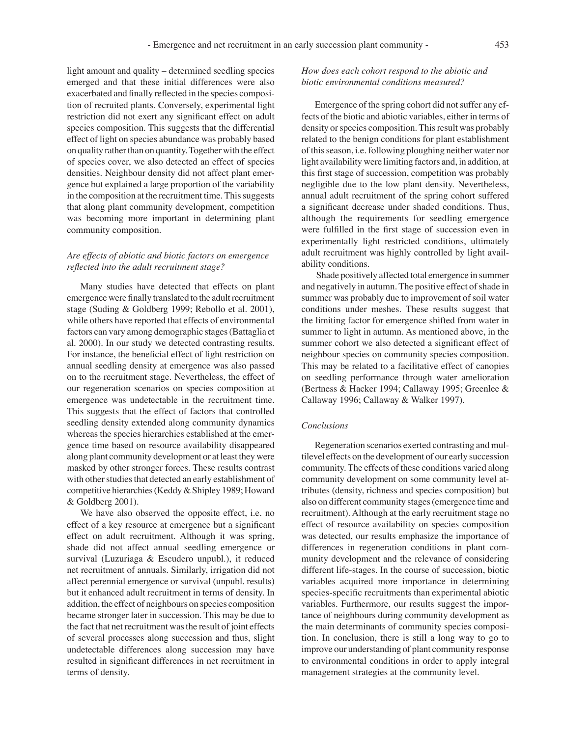light amount and quality – determined seedling species emerged and that these initial differences were also exacerbated and finally reflected in the species composition of recruited plants. Conversely, experimental light restriction did not exert any significant effect on adult species composition. This suggests that the differential effect of light on species abundance was probably based on quality rather than on quantity. Together with the effect of species cover, we also detected an effect of species densities. Neighbour density did not affect plant emergence but explained a large proportion of the variability in the composition at the recruitment time. This suggests that along plant community development, competition was becoming more important in determining plant community composition.

# *Are effects of abiotic and biotic factors on emergence reflected into the adult recruitment stage?*

Many studies have detected that effects on plant emergence were finally translated to the adult recruitment stage (Suding & Goldberg 1999; Rebollo et al. 2001), while others have reported that effects of environmental factors can vary among demographic stages (Battaglia et al. 2000). In our study we detected contrasting results. For instance, the beneficial effect of light restriction on annual seedling density at emergence was also passed on to the recruitment stage. Nevertheless, the effect of our regeneration scenarios on species composition at emergence was undetectable in the recruitment time. This suggests that the effect of factors that controlled seedling density extended along community dynamics whereas the species hierarchies established at the emergence time based on resource availability disappeared along plant community development or at least they were masked by other stronger forces. These results contrast with other studies that detected an early establishment of competitive hierarchies (Keddy & Shipley 1989; Howard & Goldberg 2001).

We have also observed the opposite effect, i.e. no effect of a key resource at emergence but a significant effect on adult recruitment. Although it was spring, shade did not affect annual seedling emergence or survival (Luzuriaga & Escudero unpubl.), it reduced net recruitment of annuals. Similarly, irrigation did not affect perennial emergence or survival (unpubl. results) but it enhanced adult recruitment in terms of density. In addition, the effect of neighbours on species composition became stronger later in succession. This may be due to the fact that net recruitment was the result of joint effects of several processes along succession and thus, slight undetectable differences along succession may have resulted in significant differences in net recruitment in terms of density.

# *How does each cohort respond to the abiotic and biotic environmental conditions measured?*

Emergence of the spring cohort did not suffer any effects of the biotic and abiotic variables, either in terms of density or species composition. This result was probably related to the benign conditions for plant establishment of this season, i.e. following ploughing neither water nor light availability were limiting factors and, in addition, at this first stage of succession, competition was probably negligible due to the low plant density. Nevertheless, annual adult recruitment of the spring cohort suffered a significant decrease under shaded conditions. Thus, although the requirements for seedling emergence were fulfilled in the first stage of succession even in experimentally light restricted conditions, ultimately adult recruitment was highly controlled by light availability conditions.

 Shade positively affected total emergence in summer and negatively in autumn. The positive effect of shade in summer was probably due to improvement of soil water conditions under meshes. These results suggest that the limiting factor for emergence shifted from water in summer to light in autumn. As mentioned above, in the summer cohort we also detected a significant effect of neighbour species on community species composition. This may be related to a facilitative effect of canopies on seedling performance through water amelioration (Bertness & Hacker 1994; Callaway 1995; Greenlee & Callaway 1996; Callaway & Walker 1997).

## *Conclusions*

Regeneration scenarios exerted contrasting and multilevel effects on the development of our early succession community. The effects of these conditions varied along community development on some community level attributes (density, richness and species composition) but also on different community stages (emergence time and recruitment). Although at the early recruitment stage no effect of resource availability on species composition was detected, our results emphasize the importance of differences in regeneration conditions in plant community development and the relevance of considering different life-stages. In the course of succession, biotic variables acquired more importance in determining species-specific recruitments than experimental abiotic variables. Furthermore, our results suggest the importance of neighbours during community development as the main determinants of community species composition. In conclusion, there is still a long way to go to improve our understanding of plant community response to environmental conditions in order to apply integral management strategies at the community level.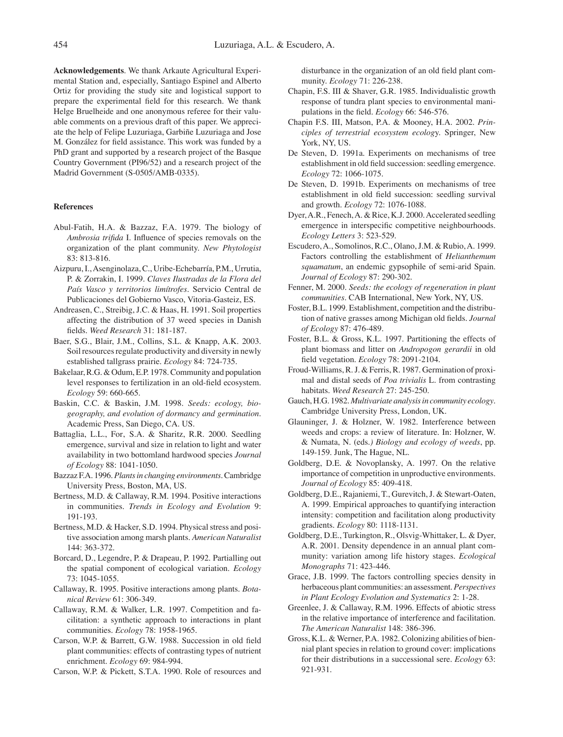**Acknowledgements**. We thank Arkaute Agricultural Experimental Station and, especially, Santiago Espinel and Alberto Ortiz for providing the study site and logistical support to prepare the experimental field for this research. We thank Helge Bruelheide and one anonymous referee for their valuable comments on a previous draft of this paper. We appreciate the help of Felipe Luzuriaga, Garbiñe Luzuriaga and Jose M. González for field assistance. This work was funded by a PhD grant and supported by a research project of the Basque Country Government (PI96/52) and a research project of the Madrid Government (S-0505/AMB-0335).

## **References**

- Abul-Fatih, H.A. & Bazzaz, F.A. 1979. The biology of *Ambrosia trifida* I. Influence of species removals on the organization of the plant community. *New Phytologist* 83: 813-816.
- Aizpuru, I., Asenginolaza, C., Uribe-Echebarría, P.M., Urrutia, P. & Zorrakin, I. 1999. *Claves Ilustradas de la Flora del País Vasco y territorios limítrofes*. Servicio Central de Publicaciones del Gobierno Vasco, Vitoria-Gasteiz, ES.
- Andreasen, C., Streibig, J.C. & Haas, H. 1991. Soil properties affecting the distribution of 37 weed species in Danish fields. *Weed Research* 31: 181-187.
- Baer, S.G., Blair, J.M., Collins, S.L. & Knapp, A.K. 2003. Soil resources regulate productivity and diversity in newly established tallgrass prairie. *Ecology* 84: 724-735.
- Bakelaar, R.G. & Odum, E.P. 1978. Community and population level responses to fertilization in an old-field ecosystem. *Ecology* 59: 660-665.
- Baskin, C.C. & Baskin, J.M. 1998. *Seeds: ecology, biogeography, and evolution of dormancy and germination*. Academic Press, San Diego, CA. US.
- Battaglia, L.L., For, S.A. & Sharitz, R.R. 2000. Seedling emergence, survival and size in relation to light and water availability in two bottomland hardwood species *Journal of Ecology* 88: 1041-1050.
- Bazzaz F.A. 1996. *Plants in changing environments*. Cambridge University Press, Boston, MA, US.
- Bertness, M.D. & Callaway, R.M. 1994. Positive interactions in communities. *Trends in Ecology and Evolution* 9: 191-193.
- Bertness, M.D. & Hacker, S.D. 1994. Physical stress and positive association among marsh plants. *American Naturalist* 144: 363-372.
- Borcard, D., Legendre, P. & Drapeau, P. 1992. Partialling out the spatial component of ecological variation. *Ecology* 73: 1045-1055.
- Callaway, R. 1995. Positive interactions among plants. *Botanical Review* 61: 306-349.
- Callaway, R.M. & Walker, L.R. 1997. Competition and facilitation: a synthetic approach to interactions in plant communities. *Ecology* 78: 1958-1965.
- Carson, W.P. & Barrett, G.W. 1988. Succession in old field plant communities: effects of contrasting types of nutrient enrichment. *Ecology* 69: 984-994.
- Carson, W.P. & Pickett, S.T.A. 1990. Role of resources and

disturbance in the organization of an old field plant community. *Ecology* 71: 226-238.

- Chapin, F.S. III & Shaver, G.R. 1985. Individualistic growth response of tundra plant species to environmental manipulations in the field. *Ecology* 66: 546-576.
- Chapin F.S. III, Matson, P.A. & Mooney, H.A. 2002. *Principles of terrestrial ecosystem ecolog*y. Springer, New York, NY, US.
- De Steven, D. 1991a. Experiments on mechanisms of tree establishment in old field succession: seedling emergence. *Ecology* 72: 1066-1075.
- De Steven, D. 1991b. Experiments on mechanisms of tree establishment in old field succession: seedling survival and growth. *Ecology* 72: 1076-1088.
- Dyer, A.R., Fenech, A. & Rice, K.J. 2000. Accelerated seedling emergence in interspecific competitive neighbourhoods. *Ecology Letters* 3: 523-529.
- Escudero, A., Somolinos, R.C., Olano, J.M. & Rubio, A. 1999. Factors controlling the establishment of *Helianthemum squamatum*, an endemic gypsophile of semi-arid Spain. *Journal of Ecology* 87: 290-302.
- Fenner, M. 2000. *Seeds: the ecology of regeneration in plant communities*. CAB International, New York, NY, US.
- Foster, B.L. 1999. Establishment, competition and the distribution of native grasses among Michigan old fields. *Journal of Ecology* 87: 476-489.
- Foster, B.L. & Gross, K.L. 1997. Partitioning the effects of plant biomass and litter on *Andropogon gerardii* in old field vegetation. *Ecology* 78: 2091-2104.
- Froud-Williams, R. J. & Ferris, R. 1987. Germination of proximal and distal seeds of *Poa trivialis* L. from contrasting habitats. *Weed Research* 27: 245-250.
- Gauch, H.G. 1982. *Multivariate analysis in community ecology*. Cambridge University Press, London, UK.
- Glauninger, J. & Holzner, W. 1982. Interference between weeds and crops: a review of literature. In: Holzner, W. & Numata, N. (eds*.) Biology and ecology of weeds*, pp. 149-159. Junk, The Hague, NL.
- Goldberg, D.E. & Novoplansky, A. 1997. On the relative importance of competition in unproductive environments. *Journal of Ecology* 85: 409-418.
- Goldberg, D.E., Rajaniemi, T., Gurevitch, J. & Stewart-Oaten, A. 1999. Empirical approaches to quantifying interaction intensity: competition and facilitation along productivity gradients. *Ecology* 80: 1118-1131.
- Goldberg, D.E., Turkington, R., Olsvig-Whittaker, L. & Dyer, A.R. 2001. Density dependence in an annual plant community: variation among life history stages. *Ecological Monographs* 71: 423-446.
- Grace, J.B. 1999. The factors controlling species density in herbaceous plant communities: an assessment. *Perspectives in Plant Ecology Evolution and Systematics* 2: 1-28.
- Greenlee, J. & Callaway, R.M. 1996. Effects of abiotic stress in the relative importance of interference and facilitation. *The American Naturalist* 148: 386-396.
- Gross, K.L. & Werner, P.A. 1982. Colonizing abilities of biennial plant species in relation to ground cover: implications for their distributions in a successional sere. *Ecology* 63: 921-931.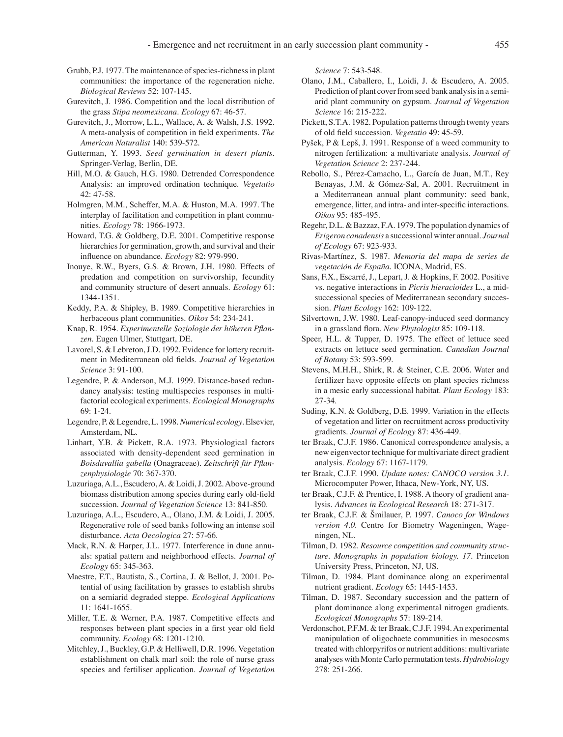- Grubb, P.J. 1977. The maintenance of species-richness in plant communities: the importance of the regeneration niche. *Biological Reviews* 52: 107-145.
- Gurevitch, J. 1986. Competition and the local distribution of the grass *Stipa neomexicana*. *Ecology* 67: 46-57.
- Gurevitch, J., Morrow, L.L., Wallace, A. & Walsh, J.S. 1992. A meta-analysis of competition in field experiments. *The American Naturalist* 140: 539-572.
- Gutterman, Y. 1993. *Seed germination in desert plants*. Springer-Verlag, Berlin, DE.
- Hill, M.O. & Gauch, H.G. 1980. Detrended Correspondence Analysis: an improved ordination technique. *Vegetatio* 42: 47-58.
- Holmgren, M.M., Scheffer, M.A. & Huston, M.A. 1997. The interplay of facilitation and competition in plant communities. *Ecology* 78: 1966-1973.
- Howard, T.G. & Goldberg, D.E. 2001. Competitive response hierarchies for germination, growth, and survival and their influence on abundance. *Ecology* 82: 979-990.
- Inouye, R.W., Byers, G.S. & Brown, J.H. 1980. Effects of predation and competition on survivorship, fecundity and community structure of desert annuals. *Ecology* 61: 1344-1351.
- Keddy, P.A. & Shipley, B. 1989. Competitive hierarchies in herbaceous plant communities. *Oikos* 54: 234-241.
- Knap, R. 1954. *Experimentelle Soziologie der höheren Pflanzen*. Eugen Ulmer, Stuttgart, DE.
- Lavorel, S. & Lebreton, J.D. 1992. Evidence for lottery recruitment in Mediterranean old fields. *Journal of Vegetation Science* 3: 91-100.
- Legendre, P. & Anderson, M.J. 1999. Distance-based redundancy analysis: testing multispecies responses in multifactorial ecological experiments. *Ecological Monographs*  69: 1-24.
- Legendre, P. & Legendre, L. 1998. *Numerical ecology*. Elsevier, Amsterdam, NL.
- Linhart, Y.B. & Pickett, R.A. 1973. Physiological factors associated with density-dependent seed germination in *Boisduvallia gabella* (Onagraceae). *Zeitschrift für Pflanzenphysiologie* 70: 367-370.
- Luzuriaga, A.L., Escudero, A. & Loidi, J. 2002. Above-ground biomass distribution among species during early old-field succession. *Journal of Vegetation Science* 13: 841-850.
- Luzuriaga, A.L., Escudero, A., Olano, J.M. & Loidi, J. 2005. Regenerative role of seed banks following an intense soil disturbance. *Acta Oecologica* 27: 57-66.
- Mack, R.N. & Harper, J.L. 1977. Interference in dune annuals: spatial pattern and neighborhood effects. *Journal of Ecology* 65: 345-363.
- Maestre, F.T., Bautista, S., Cortina, J. & Bellot, J. 2001. Potential of using facilitation by grasses to establish shrubs on a semiarid degraded steppe. *Ecological Applications* 11: 1641-1655.
- Miller, T.E. & Werner, P.A. 1987. Competitive effects and responses between plant species in a first year old field community. *Ecology* 68: 1201-1210.
- Mitchley, J., Buckley, G.P. & Helliwell, D.R. 1996. Vegetation establishment on chalk marl soil: the role of nurse grass species and fertiliser application. *Journal of Vegetation*

*Science* 7: 543-548.

- Olano, J.M., Caballero, I., Loidi, J. & Escudero, A. 2005. Prediction of plant cover from seed bank analysis in a semiarid plant community on gypsum. *Journal of Vegetation Science* 16: 215-222.
- Pickett, S.T.A. 1982. Population patterns through twenty years of old field succession. *Vegetatio* 49: 45-59.
- Pyšek, P & Lepš, J. 1991. Response of a weed community to nitrogen fertilization: a multivariate analysis. *Journal of Vegetation Science* 2: 237-244.
- Rebollo, S., Pérez-Camacho, L., García de Juan, M.T., Rey Benayas, J.M. & Gómez-Sal, A. 2001. Recruitment in a Mediterranean annual plant community: seed bank, emergence, litter, and intra- and inter-specific interactions. *Oikos* 95: 485-495.
- Regehr, D.L. & Bazzaz, F.A. 1979. The population dynamics of *Erigeron canadensis* a successional winter annual. *Journal of Ecology* 67: 923-933.
- Rivas-Martínez, S. 1987. *Memoria del mapa de series de vegetación de España*. ICONA, Madrid, ES.
- Sans, F.X., Escarré, J., Lepart, J. & Hopkins, F. 2002. Positive vs. negative interactions in *Picris hieracioides* L., a midsuccessional species of Mediterranean secondary succession. *Plant Ecology* 162: 109-122.
- Silvertown, J.W. 1980. Leaf-canopy-induced seed dormancy in a grassland flora. *New Phytologist* 85: 109-118.
- Speer, H.L. & Tupper, D. 1975. The effect of lettuce seed extracts on lettuce seed germination. *Canadian Journal of Botany* 53: 593-599.
- Stevens, M.H.H., Shirk, R. & Steiner, C.E. 2006. Water and fertilizer have opposite effects on plant species richness in a mesic early successional habitat. *Plant Ecology* 183: 27-34.
- Suding, K.N. & Goldberg, D.E. 1999. Variation in the effects of vegetation and litter on recruitment across productivity gradients. *Journal of Ecology* 87: 436-449.
- ter Braak, C.J.F. 1986. Canonical correspondence analysis, a new eigenvector technique for multivariate direct gradient analysis. *Ecology* 67: 1167-1179.
- ter Braak, C.J.F. 1990. *Update notes: CANOCO version 3.1*. Microcomputer Power, Ithaca, New-York, NY, US.
- ter Braak, C.J.F. & Prentice, I. 1988. A theory of gradient analysis. *Advances in Ecological Research* 18: 271-317.
- ter Braak, C.J.F. & Šmilauer, P. 1997. *Canoco for Windows version 4.0*. Centre for Biometry Wageningen, Wageningen, NL.
- Tilman, D. 1982. *Resource competition and community structure*. *Monographs in population biology. 17*. Princeton University Press, Princeton, NJ, US.
- Tilman, D. 1984. Plant dominance along an experimental nutrient gradient. *Ecology* 65: 1445-1453.
- Tilman, D. 1987. Secondary succession and the pattern of plant dominance along experimental nitrogen gradients. *Ecological Monographs* 57: 189-214.
- Verdonschot, P.F.M. & ter Braak, C.J.F. 1994. An experimental manipulation of oligochaete communities in mesocosms treated with chlorpyrifos or nutrient additions: multivariate analyses with Monte Carlo permutation tests. *Hydrobiology* 278: 251-266.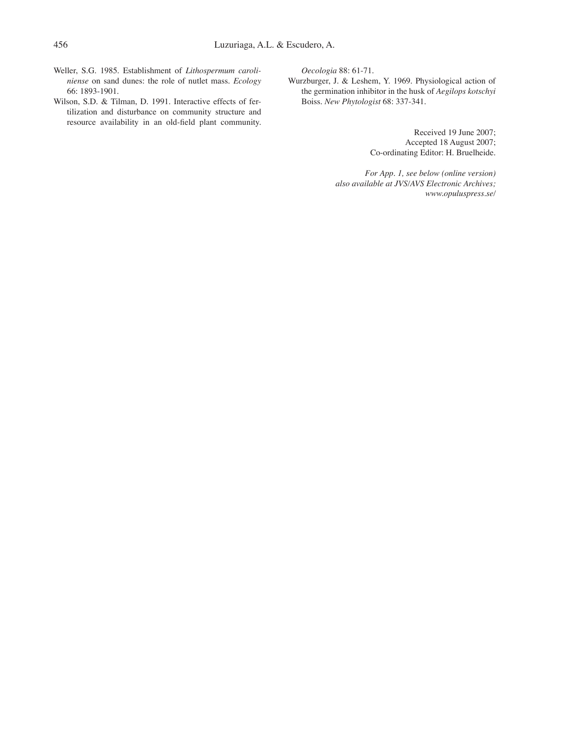- Weller, S.G. 1985. Establishment of *Lithospermum caroliniense* on sand dunes: the role of nutlet mass. *Ecology* 66: 1893-1901.
- Wilson, S.D. & Tilman, D. 1991. Interactive effects of fertilization and disturbance on community structure and resource availability in an old-field plant community.

*Oecologia* 88: 61-71.

Wurzburger, J. & Leshem, Y. 1969. Physiological action of the germination inhibitor in the husk of *Aegilops kotschyi* Boiss. *New Phytologist* 68: 337-341.

> Received 19 June 2007; Accepted 18 August 2007; Co-ordinating Editor: H. Bruelheide.

*For App. 1, see below (online version) also available at JVS/AVS Electronic Archives; www.opuluspress.se/*